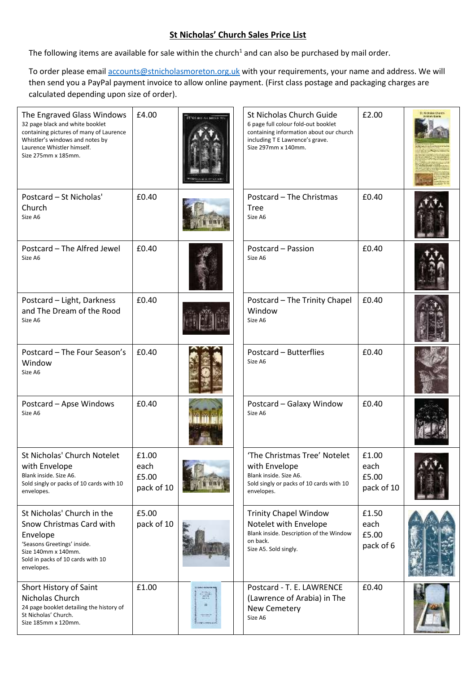## **St Nicholas' Church Sales Price List**

The following items are available for sale within the church<sup>1</sup> and can also be purchased by mail order.

To order please email **accounts@stnicholasmoreton.org.uk** with your requirements, your name and address. We will then send you a PayPal payment invoice to allow online payment. (First class postage and packaging charges are calculated depending upon size of order).

| The Engraved Glass Windows<br>32 page black and white booklet<br>containing pictures of many of Laurence<br>Whistler's windows and notes by<br>Laurence Whistler himself.<br>Size 275mm x 185mm. | £4.00                                | STN CHICAG NIGHT                                  | St Nicholas Church Guide<br>6 page full colour fold-out booklet<br>containing information about our church<br>including T E Lawrence's grave.<br>Size 297mm x 140mm. | £2.00                                | <b>IS Nickolas Charg</b> |
|--------------------------------------------------------------------------------------------------------------------------------------------------------------------------------------------------|--------------------------------------|---------------------------------------------------|----------------------------------------------------------------------------------------------------------------------------------------------------------------------|--------------------------------------|--------------------------|
| Postcard - St Nicholas'<br>Church<br>Size A6                                                                                                                                                     | £0.40                                |                                                   | Postcard - The Christmas<br><b>Tree</b><br>Size A6                                                                                                                   | £0.40                                |                          |
| Postcard - The Alfred Jewel<br>Size A6                                                                                                                                                           | £0.40                                |                                                   | Postcard - Passion<br>Size A6                                                                                                                                        | £0.40                                |                          |
| Postcard - Light, Darkness<br>and The Dream of the Rood<br>Size A6                                                                                                                               | £0.40                                |                                                   | Postcard - The Trinity Chapel<br>Window<br>Size A6                                                                                                                   | £0.40                                |                          |
| Postcard - The Four Season's<br>Window<br>Size A6                                                                                                                                                | £0.40                                |                                                   | Postcard - Butterflies<br>Size A6                                                                                                                                    | £0.40                                |                          |
| Postcard - Apse Windows<br>Size A6                                                                                                                                                               | £0.40                                |                                                   | Postcard - Galaxy Window<br>Size A6                                                                                                                                  | £0.40                                |                          |
| St Nicholas' Church Notelet<br>with Envelope<br>Blank inside. Size A6.<br>Sold singly or packs of 10 cards with 10<br>envelopes.                                                                 | £1.00<br>each<br>£5.00<br>pack of 10 |                                                   | 'The Christmas Tree' Notelet<br>with Envelope<br>Blank inside. Size A6.<br>Sold singly or packs of 10 cards with 10<br>envelopes.                                    | £1.00<br>each<br>£5.00<br>pack of 10 |                          |
| St Nicholas' Church in the<br>Snow Christmas Card with<br>Envelope<br>'Seasons Greetings' inside.<br>Size 140mm x 140mm.<br>Sold in packs of 10 cards with 10<br>envelopes.                      | £5.00<br>pack of 10                  |                                                   | <b>Trinity Chapel Window</b><br>Notelet with Envelope<br>Blank inside. Description of the Window<br>on back.<br>Size A5. Sold singly.                                | £1.50<br>each<br>£5.00<br>pack of 6  |                          |
| Short History of Saint<br>Nicholas Church<br>24 page booklet detailing the history of<br>St Nicholas' Church.<br>Size 185mm x 120mm.                                                             | £1.00                                | B<br>Ħ<br><b>TELEVILLE</b><br><b>HINTERNATION</b> | Postcard - T. E. LAWRENCE<br>(Lawrence of Arabia) in The<br>New Cemetery<br>Size A6                                                                                  | £0.40                                |                          |